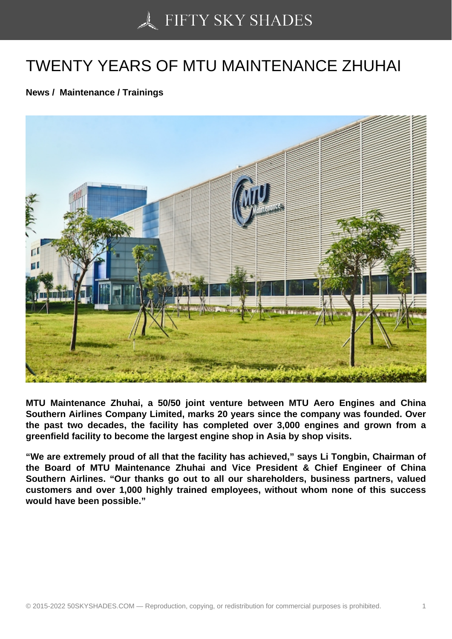## [TWENTY YEARS OF M](https://50skyshades.com)TU MAINTENANCE ZHUHAI

News / Maintenance / Trainings

MTU Maintenance Zhuhai, a 50/50 joint venture between MTU Aero Engines and China Southern Airlines Company Limited, marks 20 years since the company was founded. Over the past two decades, the facility has completed over 3,000 engines and grown from a greenfield facility to become the largest engine shop in Asia by shop visits.

"We are extremely proud of all that the facility has achieved," says Li Tongbin, Chairman of the Board of MTU Maintenance Zhuhai and Vice President & Chief Engineer of China Southern Airlines. "Our thanks go out to all our shareholders, business partners, valued customers and over 1,000 highly trained employees, without whom none of this success would have been possible."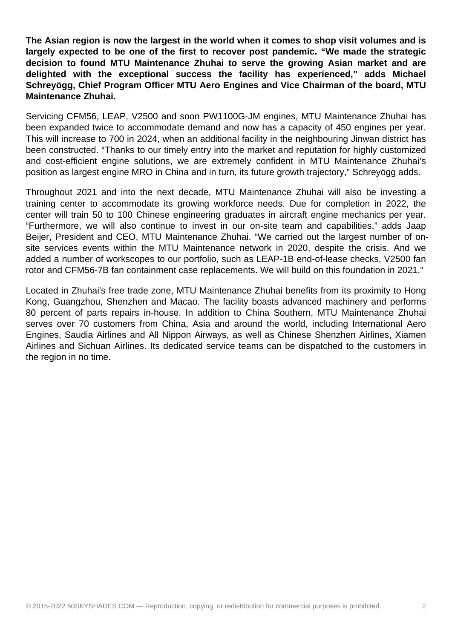**The Asian region is now the largest in the world when it comes to shop visit volumes and is largely expected to be one of the first to recover post pandemic. "We made the strategic decision to found MTU Maintenance Zhuhai to serve the growing Asian market and are delighted with the exceptional success the facility has experienced," adds Michael Schreyögg, Chief Program Officer MTU Aero Engines and Vice Chairman of the board, MTU Maintenance Zhuhai.**

Servicing CFM56, LEAP, V2500 and soon PW1100G-JM engines, MTU Maintenance Zhuhai has been expanded twice to accommodate demand and now has a capacity of 450 engines per year. This will increase to 700 in 2024, when an additional facility in the neighbouring Jinwan district has been constructed. "Thanks to our timely entry into the market and reputation for highly customized and cost-efficient engine solutions, we are extremely confident in MTU Maintenance Zhuhai's position as largest engine MRO in China and in turn, its future growth trajectory," Schreyögg adds.

Throughout 2021 and into the next decade, MTU Maintenance Zhuhai will also be investing a training center to accommodate its growing workforce needs. Due for completion in 2022, the center will train 50 to 100 Chinese engineering graduates in aircraft engine mechanics per year. "Furthermore, we will also continue to invest in our on-site team and capabilities," adds Jaap Beijer, President and CEO, MTU Maintenance Zhuhai. "We carried out the largest number of onsite services events within the MTU Maintenance network in 2020, despite the crisis. And we added a number of workscopes to our portfolio, such as LEAP-1B end-of-lease checks, V2500 fan rotor and CFM56-7B fan containment case replacements. We will build on this foundation in 2021."

Located in Zhuhai's free trade zone, MTU Maintenance Zhuhai benefits from its proximity to Hong Kong, Guangzhou, Shenzhen and Macao. The facility boasts advanced machinery and performs 80 percent of parts repairs in-house. In addition to China Southern, MTU Maintenance Zhuhai serves over 70 customers from China, Asia and around the world, including International Aero Engines, Saudia Airlines and All Nippon Airways, as well as Chinese Shenzhen Airlines, Xiamen Airlines and Sichuan Airlines. Its dedicated service teams can be dispatched to the customers in the region in no time.